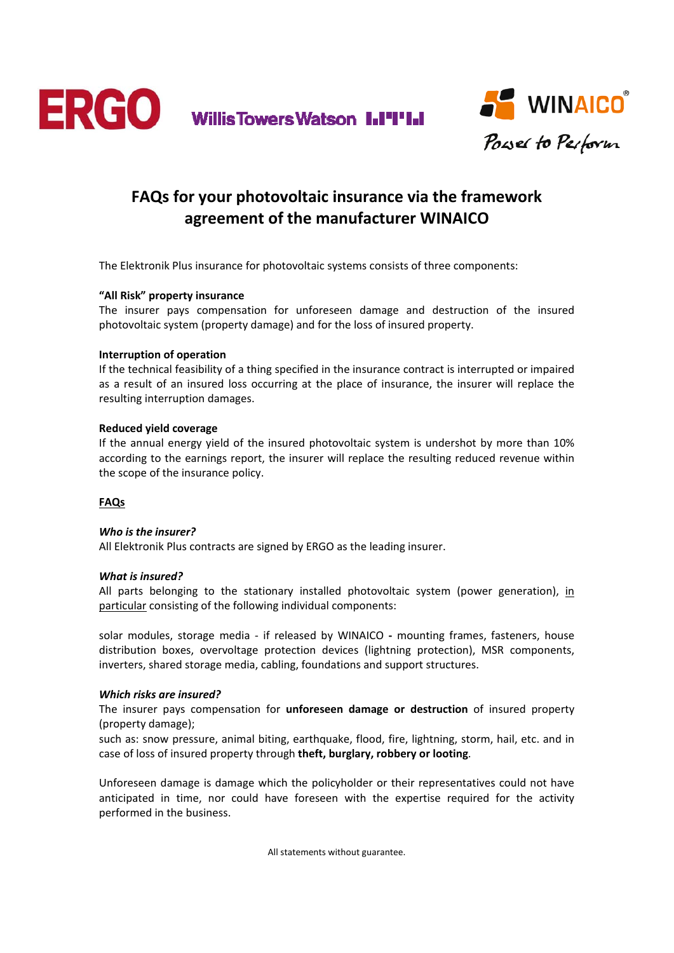



# **FAQs for your photovoltaic insurance via the framework agreement of the manufacturer WINAICO**

The Elektronik Plus insurance for photovoltaic systems consists of three components:

## **"All Risk" property insurance**

The insurer pays compensation for unforeseen damage and destruction of the insured photovoltaic system (property damage) and for the loss of insured property.

## **Interruption of operation**

If the technical feasibility of a thing specified in the insurance contract is interrupted or impaired as a result of an insured loss occurring at the place of insurance, the insurer will replace the resulting interruption damages.

## **Reduced yield coverage**

If the annual energy yield of the insured photovoltaic system is undershot by more than 10% according to the earnings report, the insurer will replace the resulting reduced revenue within the scope of the insurance policy.

## **FAQs**

## *Who is the insurer?*

All Elektronik Plus contracts are signed by ERGO as the leading insurer.

#### *What is insured?*

All parts belonging to the stationary installed photovoltaic system (power generation), in particular consisting of the following individual components:

solar modules, storage media ‐ if released by WINAICO **‐** mounting frames, fasteners, house distribution boxes, overvoltage protection devices (lightning protection), MSR components, inverters, shared storage media, cabling, foundations and support structures.

#### *Which risks are insured?*

The insurer pays compensation for **unforeseen damage or destruction** of insured property (property damage);

such as: snow pressure, animal biting, earthquake, flood, fire, lightning, storm, hail, etc. and in case of loss of insured property through **theft, burglary, robbery or looting**.

Unforeseen damage is damage which the policyholder or their representatives could not have anticipated in time, nor could have foreseen with the expertise required for the activity performed in the business.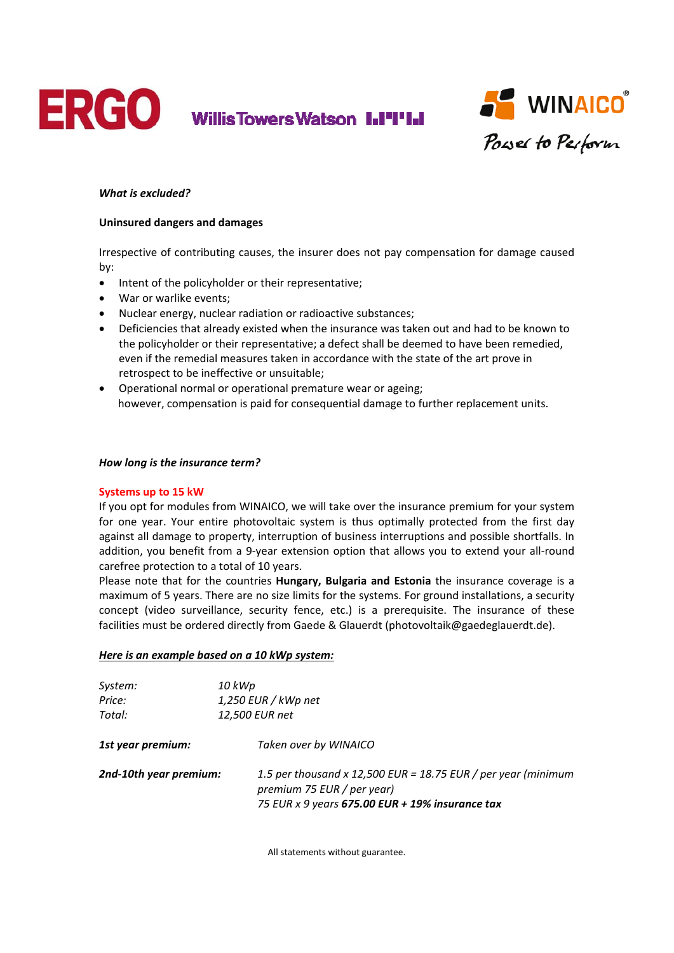

Willis Towers Watson I.I'I'I.I



## *What is excluded?*

#### **Uninsured dangers and damages**

Irrespective of contributing causes, the insurer does not pay compensation for damage caused by:

- Intent of the policyholder or their representative;
- War or warlike events;
- Nuclear energy, nuclear radiation or radioactive substances;
- Deficiencies that already existed when the insurance was taken out and had to be known to the policyholder or their representative; a defect shall be deemed to have been remedied, even if the remedial measures taken in accordance with the state of the art prove in retrospect to be ineffective or unsuitable;
- Operational normal or operational premature wear or ageing; however, compensation is paid for consequential damage to further replacement units.

#### *How long is the insurance term?*

#### **Systems up to 15 kW**

If you opt for modules from WINAICO, we will take over the insurance premium for your system for one year. Your entire photovoltaic system is thus optimally protected from the first day against all damage to property, interruption of business interruptions and possible shortfalls. In addition, you benefit from a 9-year extension option that allows you to extend your all-round carefree protection to a total of 10 years.

Please note that for the countries **Hungary, Bulgaria and Estonia** the insurance coverage is a maximum of 5 years. There are no size limits for the systems. For ground installations, a security concept (video surveillance, security fence, etc.) is a prerequisite. The insurance of these facilities must be ordered directly from Gaede & Glauerdt (photovoltaik@gaedeglauerdt.de).

#### *Here is an example based on a 10 kWp system:*

| System:                | 10 kWp                                                                                                                                         |
|------------------------|------------------------------------------------------------------------------------------------------------------------------------------------|
| Price:                 | $1,250$ EUR / kWp net                                                                                                                          |
| Total:                 | 12,500 EUR net                                                                                                                                 |
| 1st year premium:      | Taken over by WINAICO                                                                                                                          |
| 2nd-10th year premium: | 1.5 per thousand x 12,500 EUR = 18.75 EUR / per year (minimum<br>premium 75 EUR / per year)<br>75 EUR x 9 years 675.00 EUR + 19% insurance tax |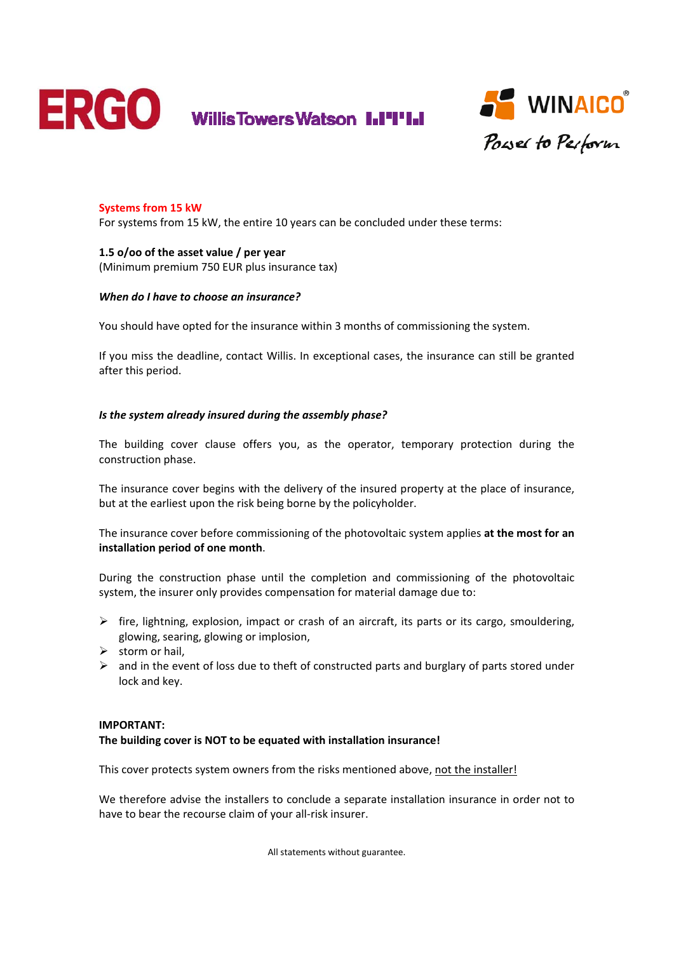



## **Systems from 15 kW**

For systems from 15 kW, the entire 10 years can be concluded under these terms:

#### **1.5 o/oo of the asset value / per year** (Minimum premium 750 EUR plus insurance tax)

#### *When do I have to choose an insurance?*

You should have opted for the insurance within 3 months of commissioning the system.

If you miss the deadline, contact Willis. In exceptional cases, the insurance can still be granted after this period.

#### *Is the system already insured during the assembly phase?*

The building cover clause offers you, as the operator, temporary protection during the construction phase.

The insurance cover begins with the delivery of the insured property at the place of insurance, but at the earliest upon the risk being borne by the policyholder.

The insurance cover before commissioning of the photovoltaic system applies **at the most for an installation period of one month**.

During the construction phase until the completion and commissioning of the photovoltaic system, the insurer only provides compensation for material damage due to:

- $\triangleright$  fire, lightning, explosion, impact or crash of an aircraft, its parts or its cargo, smouldering, glowing, searing, glowing or implosion,
- $\triangleright$  storm or hail,
- $\triangleright$  and in the event of loss due to theft of constructed parts and burglary of parts stored under lock and key.

#### **IMPORTANT:**

#### **The building cover is NOT to be equated with installation insurance!**

This cover protects system owners from the risks mentioned above, not the installer!

We therefore advise the installers to conclude a separate installation insurance in order not to have to bear the recourse claim of your all‐risk insurer.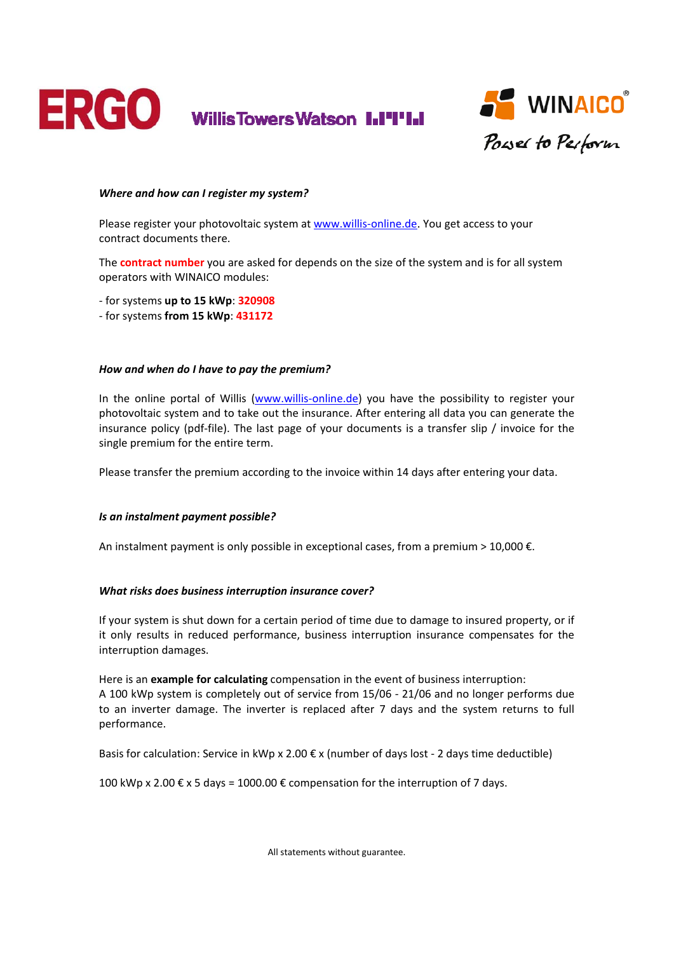



#### *Where and how can I register my system?*

Please register your photovoltaic system at www.willis-online.de. You get access to your contract documents there.

The **contract number** you are asked for depends on the size of the system and is for all system operators with WINAICO modules:

- ‐ for systems **up to 15 kWp**: **320908**
- ‐ for systems **from 15 kWp**: **431172**

#### *How and when do I have to pay the premium?*

In the online portal of Willis (www.willis-online.de) you have the possibility to register your photovoltaic system and to take out the insurance. After entering all data you can generate the insurance policy (pdf‐file). The last page of your documents is a transfer slip / invoice for the single premium for the entire term.

Please transfer the premium according to the invoice within 14 days after entering your data.

#### *Is an instalment payment possible?*

An instalment payment is only possible in exceptional cases, from a premium > 10,000  $\epsilon$ .

#### *What risks does business interruption insurance cover?*

If your system is shut down for a certain period of time due to damage to insured property, or if it only results in reduced performance, business interruption insurance compensates for the interruption damages.

Here is an **example for calculating** compensation in the event of business interruption: A 100 kWp system is completely out of service from 15/06 ‐ 21/06 and no longer performs due to an inverter damage. The inverter is replaced after 7 days and the system returns to full performance.

Basis for calculation: Service in kWp x 2.00 € x (number of days lost ‐ 2 days time deductible)

100 kWp x 2.00 € x 5 days = 1000.00 € compensation for the interruption of 7 days.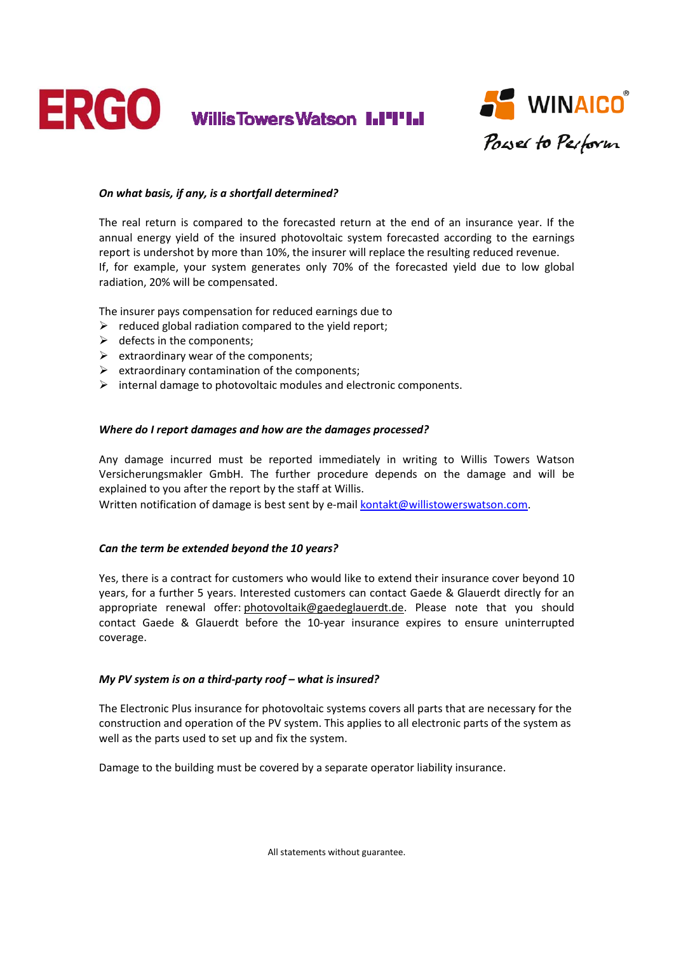



## *On what basis, if any, is a shortfall determined?*

The real return is compared to the forecasted return at the end of an insurance year. If the annual energy yield of the insured photovoltaic system forecasted according to the earnings report is undershot by more than 10%, the insurer will replace the resulting reduced revenue. If, for example, your system generates only 70% of the forecasted yield due to low global radiation, 20% will be compensated.

The insurer pays compensation for reduced earnings due to

- $\triangleright$  reduced global radiation compared to the yield report;
- $\triangleright$  defects in the components;
- $\triangleright$  extraordinary wear of the components;
- $\triangleright$  extraordinary contamination of the components;
- $\triangleright$  internal damage to photovoltaic modules and electronic components.

#### *Where do I report damages and how are the damages processed?*

Any damage incurred must be reported immediately in writing to Willis Towers Watson Versicherungsmakler GmbH. The further procedure depends on the damage and will be explained to you after the report by the staff at Willis.

Written notification of damage is best sent by e-mail kontakt@willistowerswatson.com.

#### *Can the term be extended beyond the 10 years?*

Yes, there is a contract for customers who would like to extend their insurance cover beyond 10 years, for a further 5 years. Interested customers can contact Gaede & Glauerdt directly for an appropriate renewal offer: photovoltaik@gaedeglauerdt.de. Please note that you should contact Gaede & Glauerdt before the 10‐year insurance expires to ensure uninterrupted coverage.

#### *My PV system is on a third‐party roof – what is insured?*

The Electronic Plus insurance for photovoltaic systems covers all parts that are necessary for the construction and operation of the PV system. This applies to all electronic parts of the system as well as the parts used to set up and fix the system.

Damage to the building must be covered by a separate operator liability insurance.